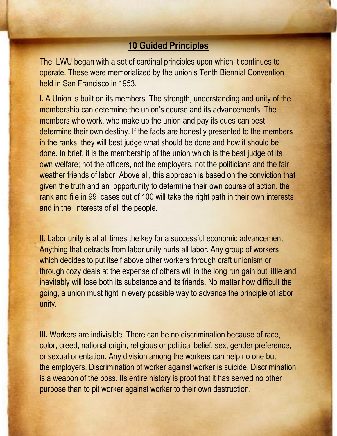## **10 Guided Principles**

The ILWU began with a set of cardinal principles upon which it continues to operate. These were memorialized by the union's Tenth Biennial Convention held in San Francisco in 1953.

**I.** A Union is built on its members. The strength, understanding and unity of the membership can determine the union's course and its advancements. The members who work, who make up the union and pay its dues can best determine their own destiny. If the facts are honestly presented to the members in the ranks, they will best judge what should be done and how it should be done. In brief, it is the membership of the union which is the best judge of its own welfare; not the officers, not the employers, not the politicians and the fair weather friends of labor. Above all, this approach is based on the conviction that given the truth and an opportunity to determine their own course of action, the rank and file in 99 cases out of 100 will take the right path in their own interests and in the interests of all the people.

**II.** Labor unity is at all times the key for a successful economic advancement. Anything that detracts from labor unity hurts all labor. Any group of workers which decides to put itself above other workers through craft unionism or through cozy deals at the expense of others will in the long run gain but little and inevitably will lose both its substance and its friends. No matter how difficult the going, a union must fight in every possible way to advance the principle of labor unity.

**III.** Workers are indivisible. There can be no discrimination because of race, color, creed, national origin, religious or political belief, sex, gender preference, or sexual orientation. Any division among the workers can help no one but the employers. Discrimination of worker against worker is suicide. Discrimination is a weapon of the boss. Its entire history is proof that it has served no other purpose than to pit worker against worker to their own destruction.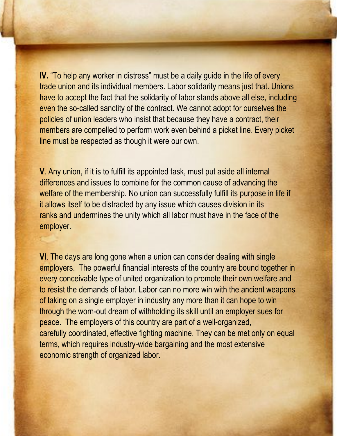**IV.** "To help any worker in distress" must be a daily guide in the life of every trade union and its individual members. Labor solidarity means just that. Unions have to accept the fact that the solidarity of labor stands above all else, including even the so-called sanctity of the contract. We cannot adopt for ourselves the policies of union leaders who insist that because they have a contract, their members are compelled to perform work even behind a picket line. Every picket line must be respected as though it were our own.

**V**. Any union, if it is to fulfill its appointed task, must put aside all internal differences and issues to combine for the common cause of advancing the welfare of the membership. No union can successfully fulfill its purpose in life if it allows itself to be distracted by any issue which causes division in its ranks and undermines the unity which all labor must have in the face of the employer.

**VI**. The days are long gone when a union can consider dealing with single employers. The powerful financial interests of the country are bound together in every conceivable type of united organization to promote their own welfare and to resist the demands of labor. Labor can no more win with the ancient weapons of taking on a single employer in industry any more than it can hope to win through the worn-out dream of withholding its skill until an employer sues for peace. The employers of this country are part of a well-organized, carefully coordinated, effective fighting machine. They can be met only on equal terms, which requires industry-wide bargaining and the most extensive economic strength of organized labor.